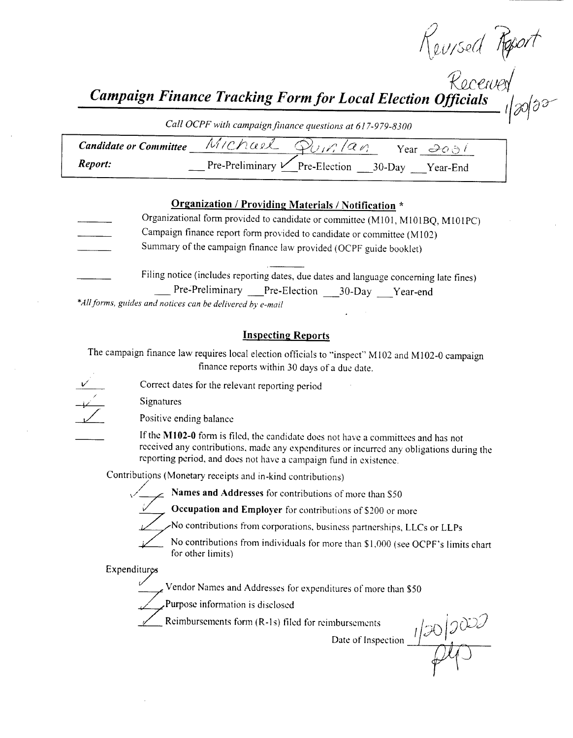$\sim$  $I \setminus \ell U /$ SeU

 $\mathcal{L}\mathcal{C}\mathcal{C}\mathcal{R}\mathcal{A}$ 

r

Campaign Finance Tracking Form for Local Election Officials  $r(\partial \theta)$ 

Call OCPF with campaign finance questions at 617-979-8300

| <b>Candidate or Committee</b> | Michael                                          |  | Year $\partial \phi$ |
|-------------------------------|--------------------------------------------------|--|----------------------|
| Report:                       | Pre-Preliminary $\mathcal V$ Pre-Election 30-Day |  | Year-End             |

#### Organization / Providing Materials / Notification \*

Organizational form provided to candidate or committee ( M101, M101BQ, M101PC) Campaign finance report form provided to candidate or committee ( M102) Summary of the campaign finance law provided( OCPF guide booklet) Filing notice (includes reporting dates, due dates and language concerning late fines)

Pre-Preliminary Pre-Election 30-Day Year-end \*All forms, guides and notices can be delivered by e-mail

#### Inspecting Reports

The campaign finance law requires local election officials to "inspect" M102 and M102-0 campaign finance reports within 30 days of <sup>a</sup> due date.

V

Correct dates for the relevant reporting period

Signatures

Positive ending balance

If the M102-0 form is filed, the candidate does not have a committees and has not received any contributions, made any expenditures or incurred any obligations during the reporting period, and does not have a campaign fund in existence.

Contributions ( Monetary receipts and in- kind contributions)



Names and Addresses for contributions of more than \$50

Occupation and Employer for contributions of \$200 or more

No contributions from corporations, business partnerships, LLCs or LLPs

No contributions from corporations, business partnerships, LLCs or LLPs<br>No contributions from individuals for more than \$1,000 (see OCPF's limits chart<br>for other limits) for other limits)

**Expenditures** 

Vendor Names and Addresses for expenditures of more than \$50

Purpose information is disclosed

Reimbursements form (R-1s) filed for reimbursements

Date of Inspection  $\frac{1}{20}$   $\frac{1}{20}$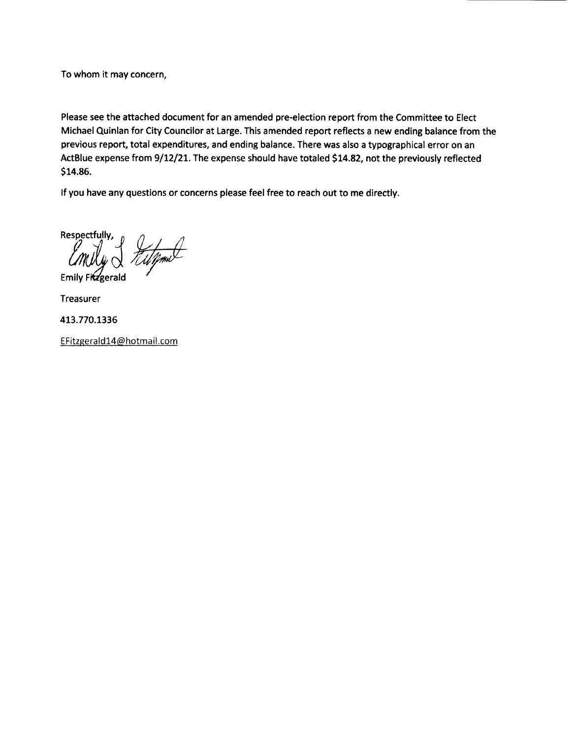To whom it may concern,

Please see the attached document for an amended pre- election report from the Committee to Elect Michael Quinlan for City Councilor at Large. This amended report reflects <sup>a</sup> new ending balance from the previous report, total expenditures, and ending balance. There was also <sup>a</sup> typographical error on an ActBlue expense from 9/12/21. The expense should have totaled \$14.82, not the previously reflected \$14.86.

If you have any questions or concerns please feel free to reach out to me directly.

Respectfully, Emily & tulpmet  $E$ mily Fitzgerald

Treasurer

413. 770. 1336

EFitzgerald14@hotmail. com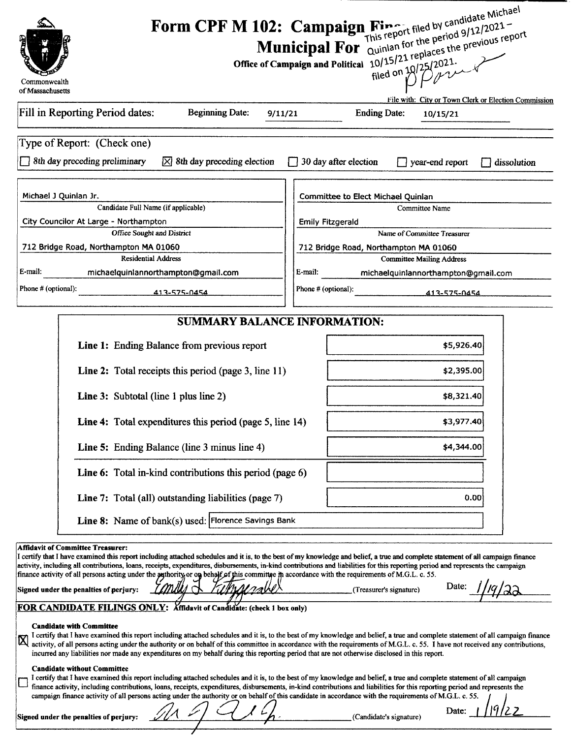| Commonwealth                                                                                                                                                                                                                                                                                                                                                                                                                                                                                                                                                                                                                                                                           | Form CPF M 102: Campaign Fine filed by candidate Michael<br>Municipal For Quintan for the period 9/12/2021-<br>Office of Campaign and Political 10/15/21 replaces the previous report |
|----------------------------------------------------------------------------------------------------------------------------------------------------------------------------------------------------------------------------------------------------------------------------------------------------------------------------------------------------------------------------------------------------------------------------------------------------------------------------------------------------------------------------------------------------------------------------------------------------------------------------------------------------------------------------------------|---------------------------------------------------------------------------------------------------------------------------------------------------------------------------------------|
| of Massachusetts                                                                                                                                                                                                                                                                                                                                                                                                                                                                                                                                                                                                                                                                       | File with: City or Town Clerk or Election Commission                                                                                                                                  |
| Fill in Reporting Period dates:<br><b>Beginning Date:</b><br>9/11/21                                                                                                                                                                                                                                                                                                                                                                                                                                                                                                                                                                                                                   | <b>Ending Date:</b><br>10/15/21                                                                                                                                                       |
| Type of Report: (Check one)<br>8th day preceding preliminary<br>$\boxtimes$ 8th day preceding election                                                                                                                                                                                                                                                                                                                                                                                                                                                                                                                                                                                 | $\Box$ 30 day after election<br>year-end report<br>dissolution                                                                                                                        |
| Michael J Quinlan Jr.<br>Candidate Full Name (if applicable)<br>City Councilor At Large - Northampton<br>Office Sought and District                                                                                                                                                                                                                                                                                                                                                                                                                                                                                                                                                    | Committee to Elect Michael Quinlan<br>Committee Name<br><b>Emily Fitzgerald</b><br>Name of Committee Treasurer                                                                        |
| 712 Bridge Road, Northampton MA 01060                                                                                                                                                                                                                                                                                                                                                                                                                                                                                                                                                                                                                                                  | 712 Bridge Road, Northampton MA 01060                                                                                                                                                 |
| <b>Residential Address</b>                                                                                                                                                                                                                                                                                                                                                                                                                                                                                                                                                                                                                                                             | <b>Committee Mailing Address</b>                                                                                                                                                      |
| E-mail:<br>michaelquinlannorthampton@gmail.com<br>Phone # (optional):<br>413-575-0454                                                                                                                                                                                                                                                                                                                                                                                                                                                                                                                                                                                                  | E-mail:<br>michaelquinlannorthampton@gmail.com<br>Phone # (optional):<br>413-575-0454                                                                                                 |
| <b>SUMMARY BALANCE INFORMATION:</b>                                                                                                                                                                                                                                                                                                                                                                                                                                                                                                                                                                                                                                                    |                                                                                                                                                                                       |
| Line 1: Ending Balance from previous report                                                                                                                                                                                                                                                                                                                                                                                                                                                                                                                                                                                                                                            | \$5,926.40                                                                                                                                                                            |
| Line 2: Total receipts this period (page 3, line 11)                                                                                                                                                                                                                                                                                                                                                                                                                                                                                                                                                                                                                                   | \$2,395.00                                                                                                                                                                            |
| <b>Line 3:</b> Subtotal (line 1 plus line 2)                                                                                                                                                                                                                                                                                                                                                                                                                                                                                                                                                                                                                                           | \$8,321.40                                                                                                                                                                            |
| Line 4: Total expenditures this period (page 5, line 14)                                                                                                                                                                                                                                                                                                                                                                                                                                                                                                                                                                                                                               | \$3,977.40                                                                                                                                                                            |
| Line 5: Ending Balance (line 3 minus line 4)                                                                                                                                                                                                                                                                                                                                                                                                                                                                                                                                                                                                                                           | \$4,344.00                                                                                                                                                                            |
| Line 6: Total in-kind contributions this period (page 6)                                                                                                                                                                                                                                                                                                                                                                                                                                                                                                                                                                                                                               |                                                                                                                                                                                       |
| Line 7: Total (all) outstanding liabilities (page 7)<br>Line 8: Name of bank(s) used: Florence Savings Bank                                                                                                                                                                                                                                                                                                                                                                                                                                                                                                                                                                            | 0.00                                                                                                                                                                                  |
|                                                                                                                                                                                                                                                                                                                                                                                                                                                                                                                                                                                                                                                                                        |                                                                                                                                                                                       |
| <b>Affidavit of Committee Treasurer:</b><br>I certify that I have examined this report including attached schedules and it is, to the best of my knowledge and belief, a true and complete statement of all campaign finance<br>activity, including all contributions, loans, receipts, expenditures, disbursements, in-kind contributions and liabilities for this reporting period and represents the campaign<br>finance activity of all persons acting under the authority or on behalf of this committee in accordance with the requirements of M.G.L. c. 55.<br>Signed under the penalties of perjury:<br>FOR CANDIDATE FILINGS ONLY: Affidavit of Candidate: (check 1 box only) | Date:<br>(Treasurer's signature)                                                                                                                                                      |
| <b>Candidate with Committee</b><br>I certify that I have examined this report including attached schedules and it is, to the best of my knowledge and belief, a true and complete statement of all campaign finance<br>$\boxtimes$<br>activity, of all persons acting under the authority or on behalf of this committee in accordance with the requirements of M.G.L. c. 55. I have not received any contributions,<br>incurred any liabilities nor made any expenditures on my behalf during this reporting period that are not otherwise disclosed in this report.                                                                                                                  |                                                                                                                                                                                       |
| <b>Candidate without Committee</b><br>I certify that I have examined this report including attached schedules and it is, to the best of my knowledge and belief, a true and complete statement of all campaign<br>finance activity, including contributions, loans, receipts, expenditures, disbursements, in-kind contributions and liabilities for this reporting period and represents the<br>campaign finance activity of all persons acting under the authority or on behalf of this candidate in accordance with the requirements of M.G.L. c. 55.                                                                                                                               | Date:                                                                                                                                                                                 |
| Signed under the penalties of perjury:                                                                                                                                                                                                                                                                                                                                                                                                                                                                                                                                                                                                                                                 | (Candidate's signature)                                                                                                                                                               |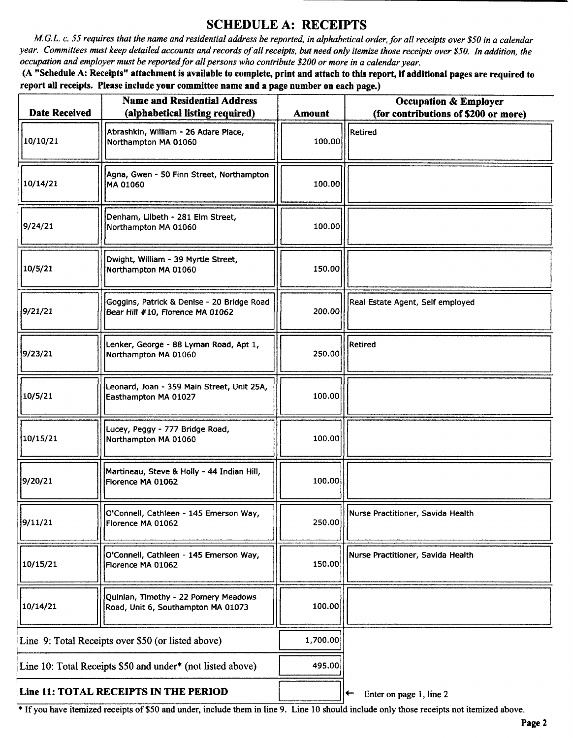### SCHEDULE A: RECEIPTS

M.G.L. c. 55 requires that the name and residential address be reported, in alphabetical order, for all receipts over \$50 in a calendar year. Committees must keep detailed accounts and records of all receipts, but need only itemize those receipts over \$50. In addition, the occupation and employer must be reported for all persons who contribute \$200 or more in a calendar year.

A" Schedule A: Receipts" attachment is available to complete, print and attach to this report, if additional pages are required to report all receipts. Please include your committee name and a page number on each page.)

| <b>Date Received</b>                                       | <b>Name and Residential Address</b><br>(alphabetical listing required)         | <b>Amount</b> | <b>Occupation &amp; Employer</b><br>(for contributions of \$200 or more) |
|------------------------------------------------------------|--------------------------------------------------------------------------------|---------------|--------------------------------------------------------------------------|
| 10/10/21                                                   | Abrashkin, William - 26 Adare Place,<br>Northampton MA 01060                   | 100,00        | Retired                                                                  |
| 10/14/21                                                   | Agna, Gwen - 50 Finn Street, Northampton<br>MA 01060                           | 100.00        |                                                                          |
| 9/24/21                                                    | Denham, Lilbeth - 281 Elm Street,<br>Northampton MA 01060                      | 100.00        |                                                                          |
| 10/5/21                                                    | Dwight, William - 39 Myrtle Street,<br>Northampton MA 01060                    | 150.00        |                                                                          |
| 9/21/21                                                    | Goggins, Patrick & Denise - 20 Bridge Road<br>Bear Hill #10, Florence MA 01062 | 200.00        | Real Estate Agent, Self employed                                         |
| 9/23/21                                                    | Lenker, George - 88 Lyman Road, Apt 1,<br>Northampton MA 01060                 | 250.00        | Retired                                                                  |
| 10/5/21                                                    | Leonard, Joan - 359 Main Street, Unit 25A,<br>Easthampton MA 01027             | 100.00        |                                                                          |
| 10/15/21                                                   | Lucey, Peggy - 777 Bridge Road,<br>Northampton MA 01060                        | 100.00        |                                                                          |
| 9/20/21                                                    | Martineau, Steve & Holly - 44 Indian Hill,<br>Florence MA 01062                | 100.00        |                                                                          |
| 9/11/21                                                    | O'Connell, Cathleen - 145 Emerson way,<br>Florence MA 01062                    | 250.00        | inurse Practitioner, Savida Health                                       |
| 10/15/21                                                   | O'Connell, Cathleen - 145 Emerson Way,<br>Florence MA 01062                    | 150.00        | Nurse Practitioner, Savida Health                                        |
| 10/14/21                                                   | Quinlan, Timothy - 22 Pomery Meadows<br>Road, Unit 6, Southampton MA 01073     | 100.00        |                                                                          |
| Line 9: Total Receipts over \$50 (or listed above)         |                                                                                | 1,700.00      |                                                                          |
| Line 10: Total Receipts \$50 and under* (not listed above) |                                                                                | 495.00        |                                                                          |
| Line 11: TOTAL RECEIPTS IN THE PERIOD                      |                                                                                |               | Enter on page 1, line 2<br>$\leftarrow$                                  |

If you have itemized receipts of\$ <sup>50</sup> and under, include them in line 9. Line <sup>10</sup> should include only those receipts not itemized above.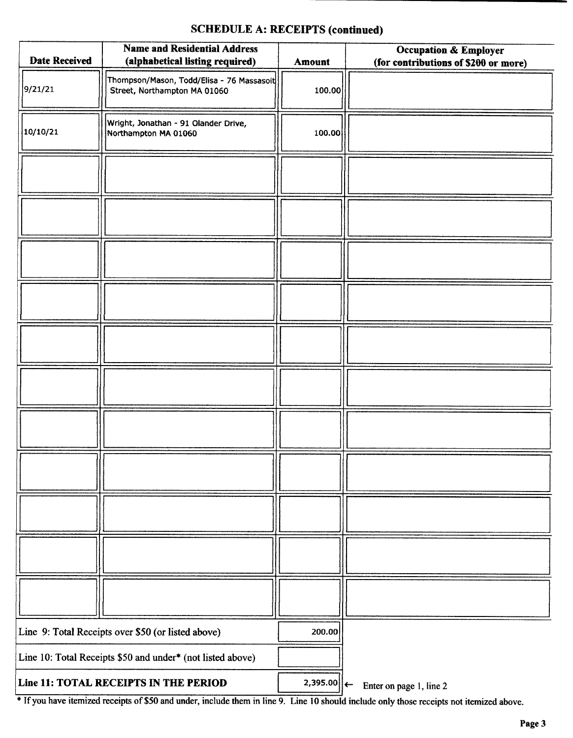### SCHEDULE A: RECEIPTS (continued)

| <b>Date Received</b>                               | <b>Name and Residential Address</b><br>(alphabetical listing required)    | Amount         | <b>Occupation &amp; Employer</b><br>(for contributions of \$200 or more) |
|----------------------------------------------------|---------------------------------------------------------------------------|----------------|--------------------------------------------------------------------------|
| 9/21/21                                            | Thompson/Mason, Todd/Elisa - 76 Massasoit<br>Street, Northampton MA 01060 | 100.00         |                                                                          |
| 10/10/21                                           | Wright, Jonathan - 91 Olander Drive,<br>Northampton MA 01060              | 100.00         |                                                                          |
|                                                    |                                                                           |                |                                                                          |
|                                                    |                                                                           |                |                                                                          |
|                                                    |                                                                           |                |                                                                          |
|                                                    |                                                                           |                |                                                                          |
|                                                    |                                                                           |                |                                                                          |
|                                                    |                                                                           |                |                                                                          |
|                                                    |                                                                           |                |                                                                          |
|                                                    |                                                                           |                |                                                                          |
|                                                    |                                                                           |                |                                                                          |
|                                                    |                                                                           |                |                                                                          |
|                                                    |                                                                           |                |                                                                          |
| Line 9: Total Receipts over \$50 (or listed above) |                                                                           | 200.00         |                                                                          |
|                                                    | Line 10: Total Receipts \$50 and under* (not listed above)                |                |                                                                          |
|                                                    | Line 11: TOTAL RECEIPTS IN THE PERIOD                                     | $2,395.00$   ← | Enter on page 1, line 2                                                  |

If you have itemized receipts of \$50 and under, include them in line 9. Line 10 should include only those receipts not itemized above.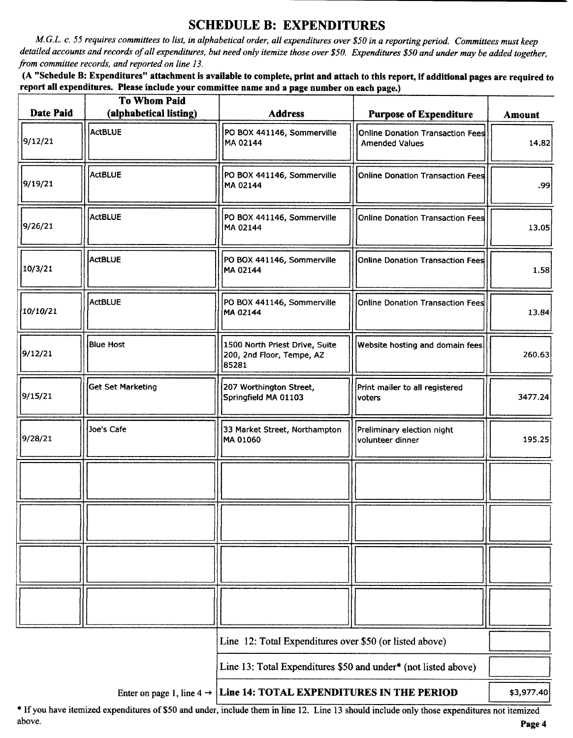### SCHEDULE B: EXPENDITURES

M.G.L. c. 55 requires committees to list, in alphabetical order, all expenditures over\$ 50 in a reporting period. Committees must keep detailed accounts and records of all expenditures, but need only itemize those over \$50. Expenditures \$50 and under may be added together, from committee records, and reported on line 13.

A" Schedule B: Expenditures" attachment is available to complete, print and attach to this report, if additional pages are required to report all expenditures. Please include your committee name and a page number on each page.)

| Date Paid | <b>To Whom Paid</b><br>(alphabetical listing) | <b>Address</b>                                                                  | <b>Purpose of Expenditure</b>                             | <b>Amount</b> |
|-----------|-----------------------------------------------|---------------------------------------------------------------------------------|-----------------------------------------------------------|---------------|
| 9/12/21   | ActBLUE                                       | PO BOX 441146, Sommerville<br>MA 02144                                          | Online Donation Transaction Fees<br><b>Amended Values</b> | 14.82         |
| 9/19/21   | <b>ActBLUE</b>                                | PO BOX 441146, Sommerville<br>MA 02144                                          | Online Donation Transaction Fees                          | 99.           |
| 9/26/21   | ActBLUE                                       | PO BOX 441146, Sommerville<br>MA 02144                                          | Online Donation Transaction Fees                          | 13.05         |
| 10/3/21   | <b>ActBLUE</b>                                | PO BOX 441146, Sommerville<br>MA 02144                                          | Online Donation Transaction Fees                          | 1.58          |
| 10/10/21  | ActBLUE                                       | PO BOX 441146, Sommerville<br>MA 02144                                          | Online Donation Transaction Fees                          | 13.84         |
| 9/12/21   | <b>Blue Host</b>                              | 1500 North Priest Drive, Suite<br>200, 2nd Floor, Tempe, AZ<br>85281            | Website hosting and domain fees                           | 260.63        |
| 9/15/21   | Get Set Marketing                             | 207 Worthington Street,<br>Springfield MA 01103                                 | Print mailer to all registered<br>voters                  | 3477.24       |
| 9/28/21   | Joe's Cafe                                    | 33 Market Street, Northampton<br>MA 01060                                       | Preliminary election night<br>volunteer dinner            | 195.25        |
|           |                                               |                                                                                 |                                                           |               |
|           |                                               |                                                                                 |                                                           |               |
|           |                                               |                                                                                 |                                                           |               |
|           |                                               |                                                                                 |                                                           |               |
|           |                                               | Line 12: Total Expenditures over \$50 (or listed above)                         |                                                           |               |
|           |                                               | Line 13: Total Expenditures \$50 and under* (not listed above)                  |                                                           |               |
|           |                                               | Enter on page 1, line $4 \rightarrow$ Line 14: TOTAL EXPENDITURES IN THE PERIOD |                                                           | \$3,977.40    |

\* If you have itemized expenditures of \$50 and under, include them in line 12. Line 13 should include only those expenditures not itemized above. above. **Page 4** and the set of the set of the set of the set of the set of the set of the set of the set of the set of the set of the set of the set of the set of the set of the set of the set of the set of the set of the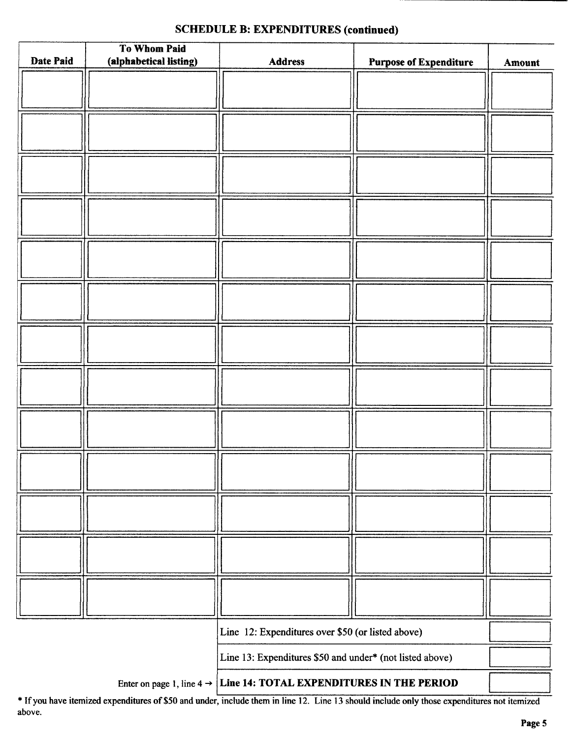|           | To Whom Paid           |                                                          |                               |        |
|-----------|------------------------|----------------------------------------------------------|-------------------------------|--------|
| Date Paid | (alphabetical listing) | Address                                                  | <b>Purpose of Expenditure</b> | Amount |
|           |                        |                                                          |                               |        |
|           |                        |                                                          |                               |        |
|           |                        |                                                          |                               |        |
|           |                        |                                                          |                               |        |
|           |                        |                                                          |                               |        |
|           |                        |                                                          |                               |        |
|           |                        |                                                          |                               |        |
|           |                        |                                                          |                               |        |
|           |                        |                                                          |                               |        |
|           |                        |                                                          |                               |        |
|           |                        |                                                          |                               |        |
|           |                        |                                                          |                               |        |
|           |                        |                                                          |                               |        |
|           |                        |                                                          |                               |        |
|           |                        |                                                          |                               |        |
|           |                        |                                                          |                               |        |
|           |                        |                                                          |                               |        |
|           |                        |                                                          |                               |        |
|           |                        |                                                          |                               |        |
|           |                        |                                                          |                               |        |
|           |                        |                                                          |                               |        |
|           |                        |                                                          |                               |        |
|           |                        |                                                          |                               |        |
|           |                        |                                                          |                               |        |
|           |                        |                                                          |                               |        |
|           |                        |                                                          |                               |        |
|           |                        |                                                          |                               |        |
|           |                        |                                                          |                               |        |
|           |                        |                                                          |                               |        |
|           |                        |                                                          |                               |        |
|           |                        |                                                          |                               |        |
|           |                        |                                                          |                               |        |
|           |                        |                                                          |                               |        |
|           |                        |                                                          |                               |        |
|           |                        |                                                          |                               |        |
|           |                        |                                                          |                               |        |
|           |                        |                                                          |                               |        |
|           |                        |                                                          |                               |        |
|           |                        |                                                          |                               |        |
|           |                        |                                                          |                               |        |
|           |                        |                                                          |                               |        |
|           |                        |                                                          |                               |        |
|           |                        |                                                          |                               |        |
|           |                        |                                                          |                               |        |
|           |                        |                                                          |                               |        |
|           |                        | Line 12: Expenditures over \$50 (or listed above)        |                               |        |
|           |                        |                                                          |                               |        |
|           |                        | Line 13: Expenditures \$50 and under* (not listed above) |                               |        |
|           |                        |                                                          |                               |        |

#### SCHEDULE B: EXPENDITURES (continued)

Enter on page 1, line  $4 \rightarrow$  Line 14: TOTAL EXPENDITURES IN THE PERIOD

If you have itemized expenditures of\$50 and under, include them in line 12. Line <sup>13</sup> should include only those expenditures not itemized above.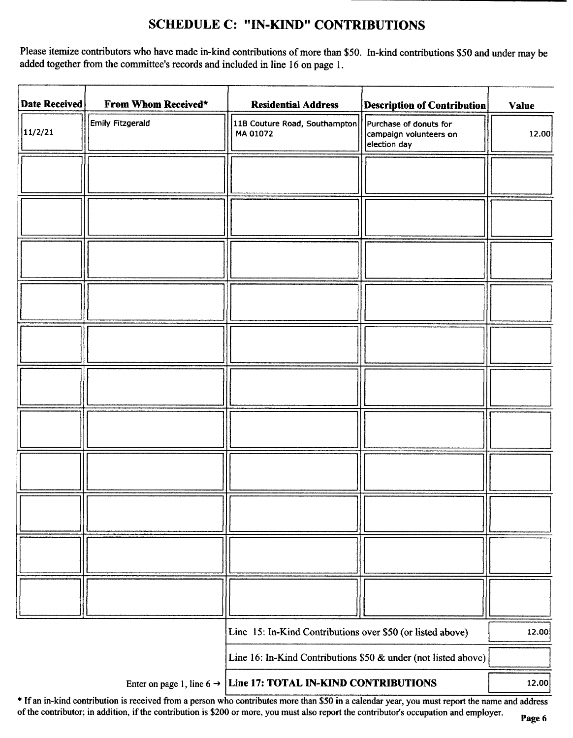## SCHEDULE C: " IN-KIND" CONTRIBUTIONS

Please itemize contributors who have made in-kind contributions of more than \$50. In-kind contributions \$50 and under may be added together from the committee's records and included in line 16 on page 1.

| <b>Date Received</b>                                                       | From Whom Received* | <b>Residential Address</b>                                 | <b>Description of Contribution</b>                               | <b>Value</b> |
|----------------------------------------------------------------------------|---------------------|------------------------------------------------------------|------------------------------------------------------------------|--------------|
| 11/2/21                                                                    | Emily Fitzgerald    | 11B Couture Road, Southampton<br>MA 01072                  | Purchase of donuts for<br>campaign volunteers on<br>election day | 12.00        |
|                                                                            |                     |                                                            |                                                                  |              |
|                                                                            |                     |                                                            |                                                                  |              |
|                                                                            |                     |                                                            |                                                                  |              |
|                                                                            |                     |                                                            |                                                                  |              |
|                                                                            |                     |                                                            |                                                                  |              |
|                                                                            |                     |                                                            |                                                                  |              |
|                                                                            |                     |                                                            |                                                                  |              |
|                                                                            |                     |                                                            |                                                                  |              |
|                                                                            |                     |                                                            |                                                                  |              |
|                                                                            |                     |                                                            |                                                                  |              |
|                                                                            |                     |                                                            |                                                                  |              |
|                                                                            |                     | Line 15: In-Kind Contributions over \$50 (or listed above) |                                                                  | 12.00        |
|                                                                            |                     |                                                            | Line 16: In-Kind Contributions \$50 & under (not listed above)   |              |
| Enter on page 1, line $6 \rightarrow$ Line 17: TOTAL IN-KIND CONTRIBUTIONS |                     |                                                            | 12.00                                                            |              |

\* If an in-kind contribution is received from a person who contributes more than \$50 in a calendar year, you must report the name and address of the contributor; in addition, if the contribution is\$ <sup>200</sup> or more, you must also report the contributor's occupation and employer.